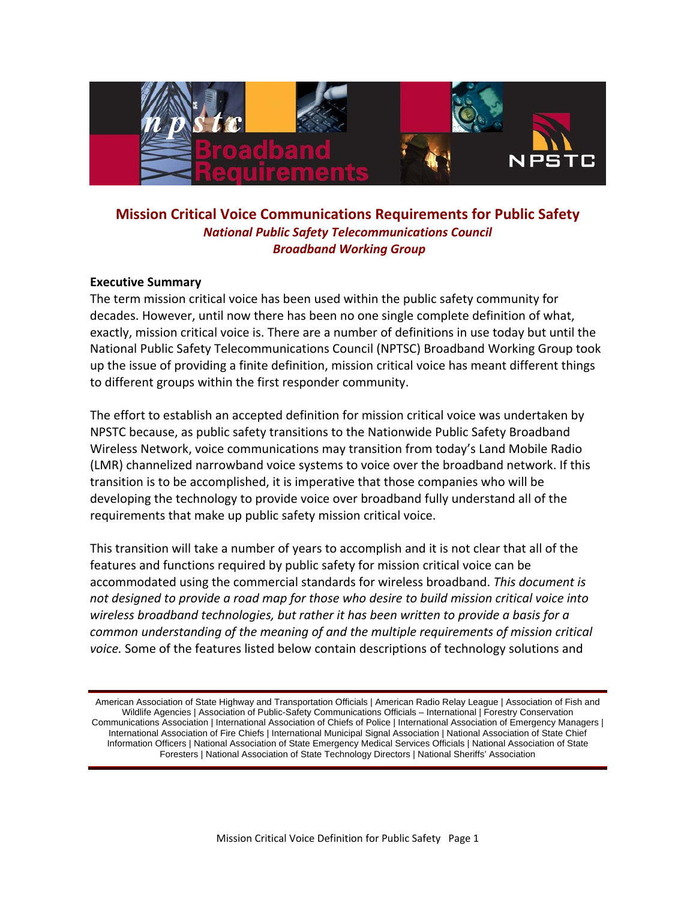

# **Mission Critical Voice Communications Requirements for Public Safety**  *National Public Safety Telecommunications Council Broadband Working Group*

#### **Executive Summary**

The term mission critical voice has been used within the public safety community for decades. However, until now there has been no one single complete definition of what, exactly, mission critical voice is. There are a number of definitions in use today but until the National Public Safety Telecommunications Council (NPTSC) Broadband Working Group took up the issue of providing a finite definition, mission critical voice has meant different things to different groups within the first responder community.

The effort to establish an accepted definition for mission critical voice was undertaken by NPSTC because, as public safety transitions to the Nationwide Public Safety Broadband Wireless Network, voice communications may transition from today's Land Mobile Radio (LMR) channelized narrowband voice systems to voice over the broadband network. If this transition is to be accomplished, it is imperative that those companies who will be developing the technology to provide voice over broadband fully understand all of the requirements that make up public safety mission critical voice.

This transition will take a number of years to accomplish and it is not clear that all of the features and functions required by public safety for mission critical voice can be accommodated using the commercial standards for wireless broadband. *This document is not designed to provide a road map for those who desire to build mission critical voice into wireless broadband technologies, but rather it has been written to provide a basis for a common understanding of the meaning of and the multiple requirements of mission critical voice.* Some of the features listed below contain descriptions of technology solutions and

American Association of State Highway and Transportation Officials | American Radio Relay League | Association of Fish and Wildlife Agencies | Association of Public-Safety Communications Officials – International | Forestry Conservation Communications Association | International Association of Chiefs of Police | International Association of Emergency Managers | International Association of Fire Chiefs | International Municipal Signal Association | National Association of State Chief Information Officers | National Association of State Emergency Medical Services Officials | National Association of State Foresters | National Association of State Technology Directors | National Sheriffs' Association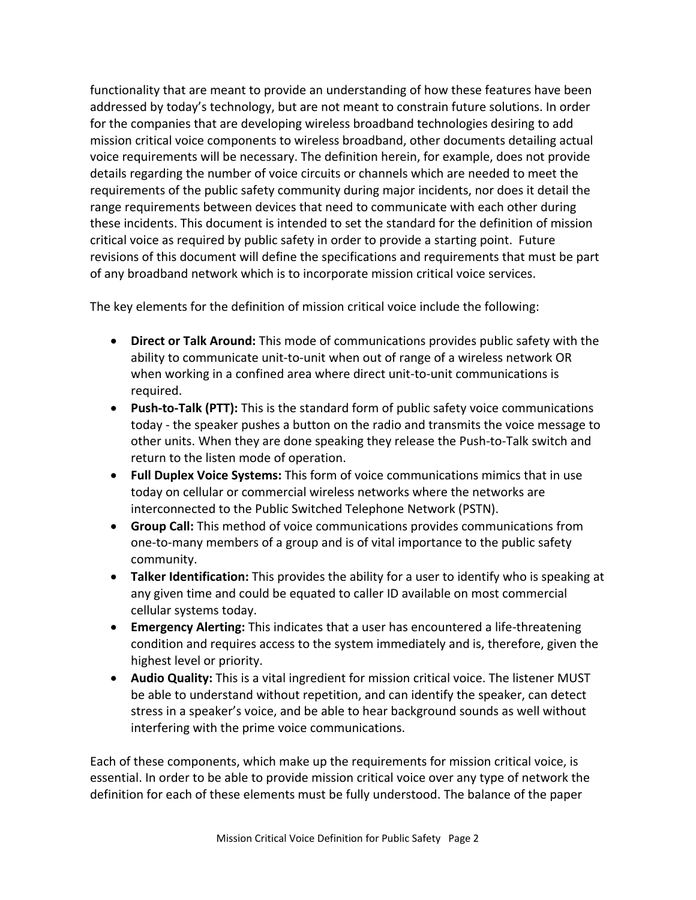functionality that are meant to provide an understanding of how these features have been addressed by today's technology, but are not meant to constrain future solutions. In order for the companies that are developing wireless broadband technologies desiring to add mission critical voice components to wireless broadband, other documents detailing actual voice requirements will be necessary. The definition herein, for example, does not provide details regarding the number of voice circuits or channels which are needed to meet the requirements of the public safety community during major incidents, nor does it detail the range requirements between devices that need to communicate with each other during these incidents. This document is intended to set the standard for the definition of mission critical voice as required by public safety in order to provide a starting point. Future revisions of this document will define the specifications and requirements that must be part of any broadband network which is to incorporate mission critical voice services.

The key elements for the definition of mission critical voice include the following:

- **Direct or Talk Around:** This mode of communications provides public safety with the ability to communicate unit‐to‐unit when out of range of a wireless network OR when working in a confined area where direct unit-to-unit communications is required.
- **Push‐to‐Talk (PTT):** This is the standard form of public safety voice communications today ‐ the speaker pushes a button on the radio and transmits the voice message to other units. When they are done speaking they release the Push‐to‐Talk switch and return to the listen mode of operation.
- **Full Duplex Voice Systems:** This form of voice communications mimics that in use today on cellular or commercial wireless networks where the networks are interconnected to the Public Switched Telephone Network (PSTN).
- **Group Call:** This method of voice communications provides communications from one‐to‐many members of a group and is of vital importance to the public safety community.
- **Talker Identification:** This provides the ability for a user to identify who is speaking at any given time and could be equated to caller ID available on most commercial cellular systems today.
- **Emergency Alerting:** This indicates that a user has encountered a life‐threatening condition and requires access to the system immediately and is, therefore, given the highest level or priority.
- **Audio Quality:** This is a vital ingredient for mission critical voice. The listener MUST be able to understand without repetition, and can identify the speaker, can detect stress in a speaker's voice, and be able to hear background sounds as well without interfering with the prime voice communications.

Each of these components, which make up the requirements for mission critical voice, is essential. In order to be able to provide mission critical voice over any type of network the definition for each of these elements must be fully understood. The balance of the paper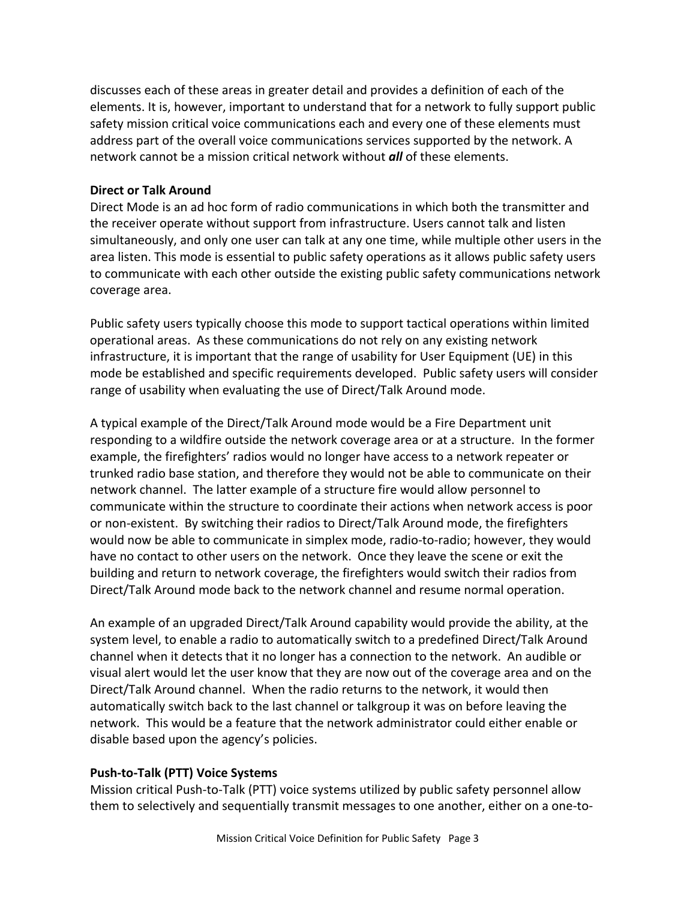discusses each of these areas in greater detail and provides a definition of each of the elements. It is, however, important to understand that for a network to fully support public safety mission critical voice communications each and every one of these elements must address part of the overall voice communications services supported by the network. A network cannot be a mission critical network without *all* of these elements.

## **Direct or Talk Around**

Direct Mode is an ad hoc form of radio communications in which both the transmitter and the receiver operate without support from infrastructure. Users cannot talk and listen simultaneously, and only one user can talk at any one time, while multiple other users in the area listen. This mode is essential to public safety operations as it allows public safety users to communicate with each other outside the existing public safety communications network coverage area.

Public safety users typically choose this mode to support tactical operations within limited operational areas. As these communications do not rely on any existing network infrastructure, it is important that the range of usability for User Equipment (UE) in this mode be established and specific requirements developed. Public safety users will consider range of usability when evaluating the use of Direct/Talk Around mode.

A typical example of the Direct/Talk Around mode would be a Fire Department unit responding to a wildfire outside the network coverage area or at a structure. In the former example, the firefighters' radios would no longer have access to a network repeater or trunked radio base station, and therefore they would not be able to communicate on their network channel. The latter example of a structure fire would allow personnel to communicate within the structure to coordinate their actions when network access is poor or non‐existent. By switching their radios to Direct/Talk Around mode, the firefighters would now be able to communicate in simplex mode, radio‐to‐radio; however, they would have no contact to other users on the network. Once they leave the scene or exit the building and return to network coverage, the firefighters would switch their radios from Direct/Talk Around mode back to the network channel and resume normal operation.

An example of an upgraded Direct/Talk Around capability would provide the ability, at the system level, to enable a radio to automatically switch to a predefined Direct/Talk Around channel when it detects that it no longer has a connection to the network. An audible or visual alert would let the user know that they are now out of the coverage area and on the Direct/Talk Around channel. When the radio returns to the network, it would then automatically switch back to the last channel or talkgroup it was on before leaving the network. This would be a feature that the network administrator could either enable or disable based upon the agency's policies.

# **Push‐to‐Talk (PTT) Voice Systems**

Mission critical Push‐to‐Talk (PTT) voice systems utilized by public safety personnel allow them to selectively and sequentially transmit messages to one another, either on a one‐to‐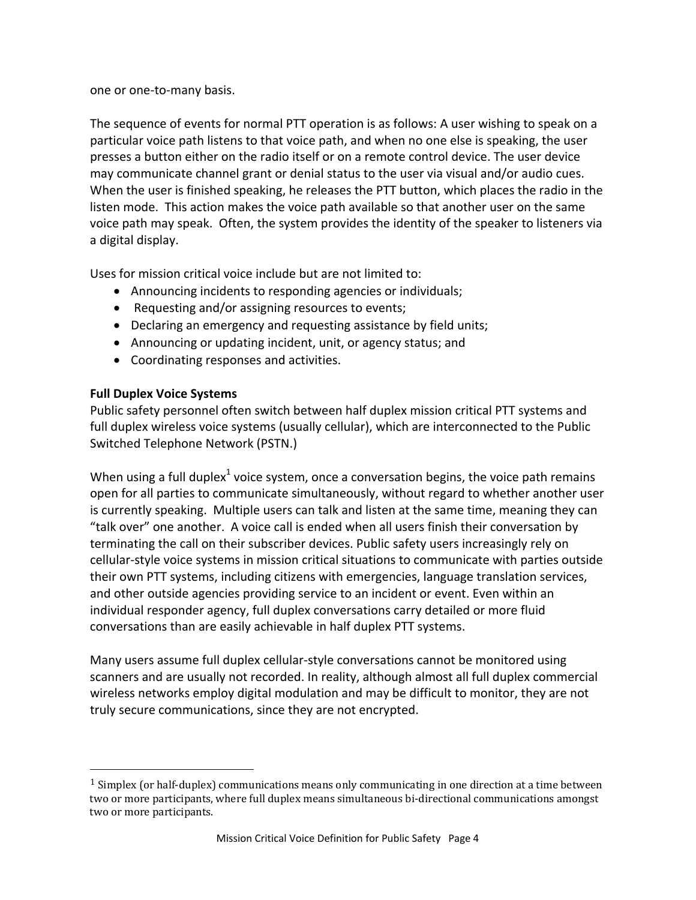one or one‐to‐many basis.

The sequence of events for normal PTT operation is as follows: A user wishing to speak on a particular voice path listens to that voice path, and when no one else is speaking, the user presses a button either on the radio itself or on a remote control device. The user device may communicate channel grant or denial status to the user via visual and/or audio cues. When the user is finished speaking, he releases the PTT button, which places the radio in the listen mode. This action makes the voice path available so that another user on the same voice path may speak. Often, the system provides the identity of the speaker to listeners via a digital display.

Uses for mission critical voice include but are not limited to:

- Announcing incidents to responding agencies or individuals;
- Requesting and/or assigning resources to events;
- Declaring an emergency and requesting assistance by field units;
- Announcing or updating incident, unit, or agency status; and
- Coordinating responses and activities.

# **Full Duplex Voice Systems**

Public safety personnel often switch between half duplex mission critical PTT systems and full duplex wireless voice systems (usually cellular), which are interconnected to the Public Switched Telephone Network (PSTN.)

When using a full duplex<sup>1</sup> voice system, once a conversation begins, the voice path remains open for all parties to communicate simultaneously, without regard to whether another user is currently speaking. Multiple users can talk and listen at the same time, meaning they can "talk over" one another. A voice call is ended when all users finish their conversation by terminating the call on their subscriber devices. Public safety users increasingly rely on cellular‐style voice systems in mission critical situations to communicate with parties outside their own PTT systems, including citizens with emergencies, language translation services, and other outside agencies providing service to an incident or event. Even within an individual responder agency, full duplex conversations carry detailed or more fluid conversations than are easily achievable in half duplex PTT systems.

Many users assume full duplex cellular‐style conversations cannot be monitored using scanners and are usually not recorded. In reality, although almost all full duplex commercial wireless networks employ digital modulation and may be difficult to monitor, they are not truly secure communications, since they are not encrypted.

 $1$  Simplex (or half-duplex) communications means only communicating in one direction at a time between two or more participants, where full duplex means simultaneous bi-directional communications amongst two or more participants.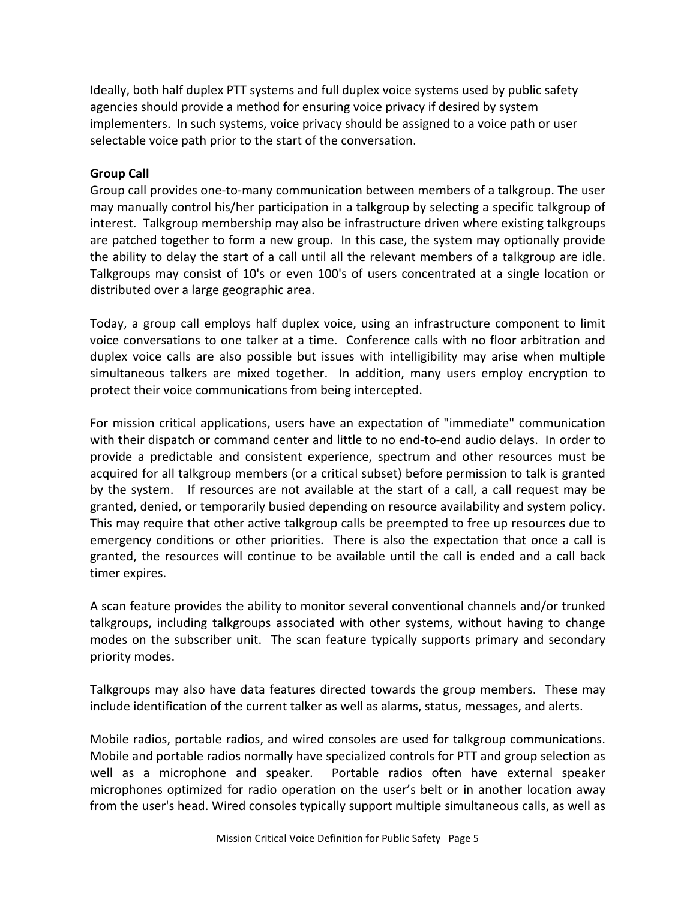Ideally, both half duplex PTT systems and full duplex voice systems used by public safety agencies should provide a method for ensuring voice privacy if desired by system implementers. In such systems, voice privacy should be assigned to a voice path or user selectable voice path prior to the start of the conversation.

#### **Group Call**

Group call provides one‐to‐many communication between members of a talkgroup. The user may manually control his/her participation in a talkgroup by selecting a specific talkgroup of interest. Talkgroup membership may also be infrastructure driven where existing talkgroups are patched together to form a new group. In this case, the system may optionally provide the ability to delay the start of a call until all the relevant members of a talkgroup are idle. Talkgroups may consist of 10's or even 100's of users concentrated at a single location or distributed over a large geographic area.

Today, a group call employs half duplex voice, using an infrastructure component to limit voice conversations to one talker at a time. Conference calls with no floor arbitration and duplex voice calls are also possible but issues with intelligibility may arise when multiple simultaneous talkers are mixed together. In addition, many users employ encryption to protect their voice communications from being intercepted.

For mission critical applications, users have an expectation of "immediate" communication with their dispatch or command center and little to no end-to-end audio delays. In order to provide a predictable and consistent experience, spectrum and other resources must be acquired for all talkgroup members (or a critical subset) before permission to talk is granted by the system. If resources are not available at the start of a call, a call request may be granted, denied, or temporarily busied depending on resource availability and system policy. This may require that other active talkgroup calls be preempted to free up resources due to emergency conditions or other priorities. There is also the expectation that once a call is granted, the resources will continue to be available until the call is ended and a call back timer expires.

A scan feature provides the ability to monitor several conventional channels and/or trunked talkgroups, including talkgroups associated with other systems, without having to change modes on the subscriber unit. The scan feature typically supports primary and secondary priority modes.

Talkgroups may also have data features directed towards the group members. These may include identification of the current talker as well as alarms, status, messages, and alerts.

Mobile radios, portable radios, and wired consoles are used for talkgroup communications. Mobile and portable radios normally have specialized controls for PTT and group selection as well as a microphone and speaker. Portable radios often have external speaker microphones optimized for radio operation on the user's belt or in another location away from the user's head. Wired consoles typically support multiple simultaneous calls, as well as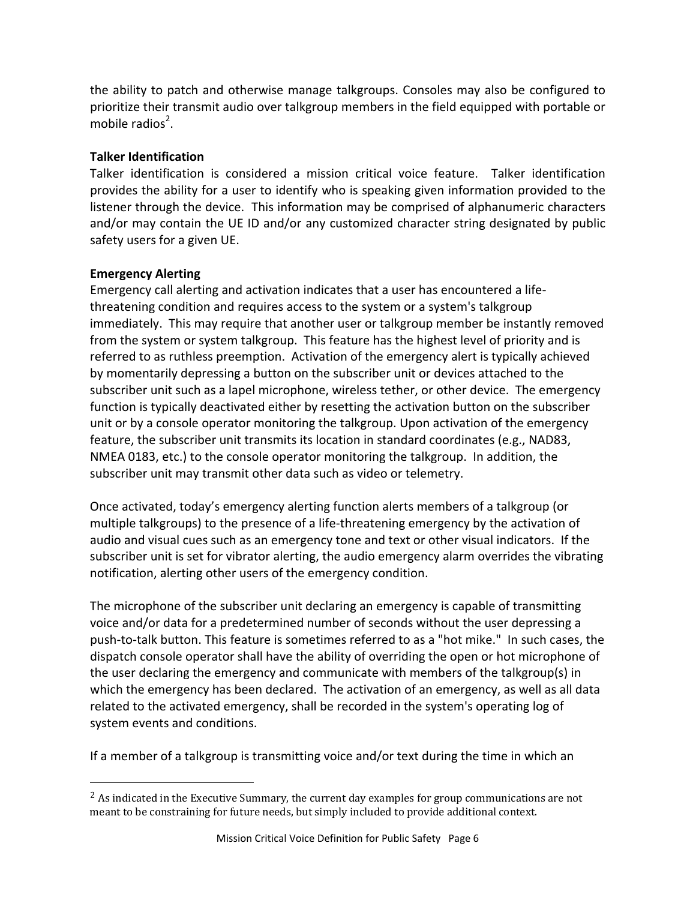the ability to patch and otherwise manage talkgroups. Consoles may also be configured to prioritize their transmit audio over talkgroup members in the field equipped with portable or mobile radios<sup>2</sup>.

### **Talker Identification**

Talker identification is considered a mission critical voice feature. Talker identification provides the ability for a user to identify who is speaking given information provided to the listener through the device. This information may be comprised of alphanumeric characters and/or may contain the UE ID and/or any customized character string designated by public safety users for a given UE.

### **Emergency Alerting**

Emergency call alerting and activation indicates that a user has encountered a life‐ threatening condition and requires access to the system or a system's talkgroup immediately. This may require that another user or talkgroup member be instantly removed from the system or system talkgroup. This feature has the highest level of priority and is referred to as ruthless preemption. Activation of the emergency alert is typically achieved by momentarily depressing a button on the subscriber unit or devices attached to the subscriber unit such as a lapel microphone, wireless tether, or other device. The emergency function is typically deactivated either by resetting the activation button on the subscriber unit or by a console operator monitoring the talkgroup. Upon activation of the emergency feature, the subscriber unit transmits its location in standard coordinates (e.g., NAD83, NMEA 0183, etc.) to the console operator monitoring the talkgroup. In addition, the subscriber unit may transmit other data such as video or telemetry.

Once activated, today's emergency alerting function alerts members of a talkgroup (or multiple talkgroups) to the presence of a life-threatening emergency by the activation of audio and visual cues such as an emergency tone and text or other visual indicators. If the subscriber unit is set for vibrator alerting, the audio emergency alarm overrides the vibrating notification, alerting other users of the emergency condition.

The microphone of the subscriber unit declaring an emergency is capable of transmitting voice and/or data for a predetermined number of seconds without the user depressing a push‐to‐talk button. This feature is sometimes referred to as a "hot mike." In such cases, the dispatch console operator shall have the ability of overriding the open or hot microphone of the user declaring the emergency and communicate with members of the talkgroup(s) in which the emergency has been declared. The activation of an emergency, as well as all data related to the activated emergency, shall be recorded in the system's operating log of system events and conditions.

If a member of a talkgroup is transmitting voice and/or text during the time in which an

 $<sup>2</sup>$  As indicated in the Executive Summary, the current day examples for group communications are not</sup> meant to be constraining for future needs, but simply included to provide additional context.